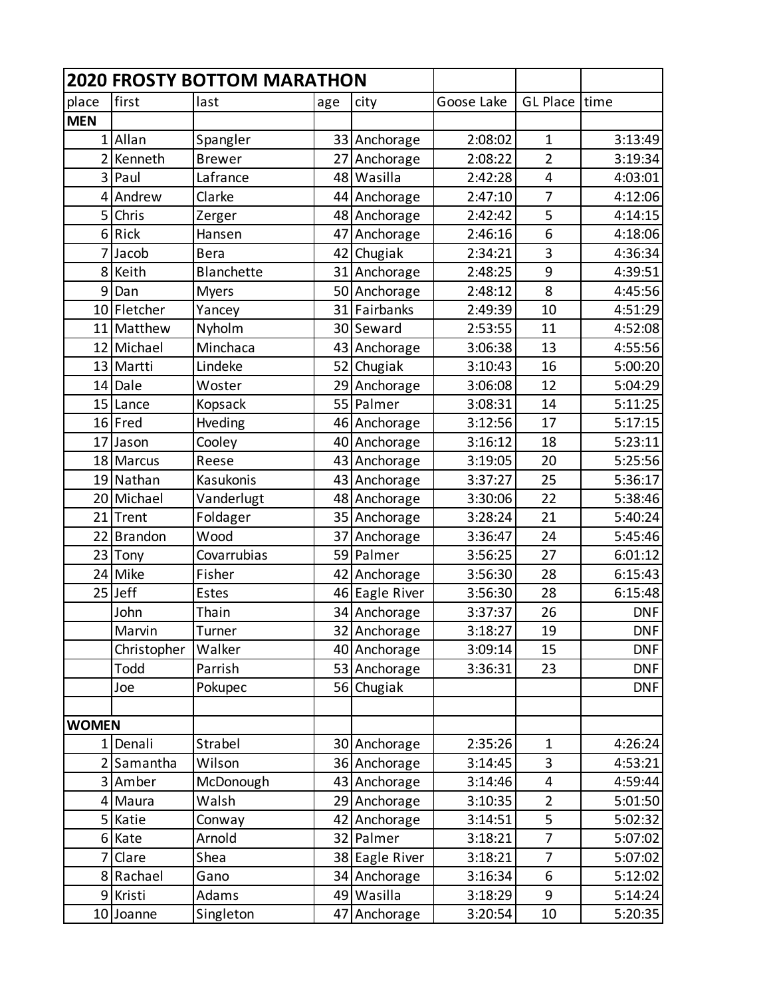|                |             | <b>2020 FROSTY BOTTOM MARATHON</b> |                 |                |            |                |            |
|----------------|-------------|------------------------------------|-----------------|----------------|------------|----------------|------------|
| place          | first       | last                               | age             | city           | Goose Lake | GL Place time  |            |
| <b>MEN</b>     |             |                                    |                 |                |            |                |            |
|                | 1 Allan     | Spangler                           |                 | 33 Anchorage   | 2:08:02    | $\mathbf{1}$   | 3:13:49    |
| $\overline{2}$ | Kenneth     | <b>Brewer</b>                      | 27 <sup>1</sup> | Anchorage      | 2:08:22    | $\overline{2}$ | 3:19:34    |
| 3              | Paul        | Lafrance                           |                 | 48 Wasilla     | 2:42:28    | $\overline{4}$ | 4:03:01    |
|                | 4 Andrew    | Clarke                             |                 | 44 Anchorage   | 2:47:10    | $\overline{7}$ | 4:12:06    |
| 5              | Chris       | Zerger                             |                 | 48 Anchorage   | 2:42:42    | 5              | 4:14:15    |
| 6              | Rick        | Hansen                             | 47              | Anchorage      | 2:46:16    | 6              | 4:18:06    |
| 7              | Jacob       | <b>Bera</b>                        | 42              | Chugiak        | 2:34:21    | 3              | 4:36:34    |
| 8              | Keith       | <b>Blanchette</b>                  |                 | 31 Anchorage   | 2:48:25    | 9              | 4:39:51    |
| 9              | Dan         | <b>Myers</b>                       |                 | 50 Anchorage   | 2:48:12    | 8              | 4:45:56    |
|                | 10 Fletcher | Yancey                             | 31              | Fairbanks      | 2:49:39    | 10             | 4:51:29    |
|                | 11 Matthew  | Nyholm                             |                 | 30 Seward      | 2:53:55    | 11             | 4:52:08    |
|                | 12 Michael  | Minchaca                           |                 | 43 Anchorage   | 3:06:38    | 13             | 4:55:56    |
|                | 13 Martti   | Lindeke                            |                 | 52 Chugiak     | 3:10:43    | 16             | 5:00:20    |
|                | 14 Dale     | Woster                             |                 | 29 Anchorage   | 3:06:08    | 12             | 5:04:29    |
|                | 15 Lance    | Kopsack                            |                 | 55 Palmer      | 3:08:31    | 14             | 5:11:25    |
|                | 16 Fred     | Hveding                            |                 | 46 Anchorage   | 3:12:56    | 17             | 5:17:15    |
|                | 17 Jason    | Cooley                             |                 | 40 Anchorage   | 3:16:12    | 18             | 5:23:11    |
|                | 18 Marcus   | Reese                              |                 | 43 Anchorage   | 3:19:05    | 20             | 5:25:56    |
|                | 19 Nathan   | Kasukonis                          |                 | 43 Anchorage   | 3:37:27    | 25             | 5:36:17    |
|                | 20 Michael  | Vanderlugt                         |                 | 48 Anchorage   | 3:30:06    | 22             | 5:38:46    |
|                | 21 Trent    | Foldager                           |                 | 35 Anchorage   | 3:28:24    | 21             | 5:40:24    |
| 22             | Brandon     | Wood                               | 37              | Anchorage      | 3:36:47    | 24             | 5:45:46    |
|                | 23 Tony     | Covarrubias                        |                 | 59 Palmer      | 3:56:25    | 27             | 6:01:12    |
|                | 24 Mike     | Fisher                             |                 | 42 Anchorage   | 3:56:30    | 28             | 6:15:43    |
|                | $25$ Jeff   | <b>Estes</b>                       |                 | 46 Eagle River | 3:56:30    | 28             | 6:15:48    |
|                | John        | Thain                              |                 | 34 Anchorage   | 3:37:37    | 26             | <b>DNF</b> |
|                | Marvin      | Turner                             |                 | 32 Anchorage   | 3:18:27    | 19             | <b>DNF</b> |
|                | Christopher | Walker                             |                 | 40 Anchorage   | 3:09:14    | 15             | <b>DNF</b> |
|                | Todd        | Parrish                            |                 | 53 Anchorage   | 3:36:31    | 23             | <b>DNF</b> |
|                | Joe         | Pokupec                            |                 | 56 Chugiak     |            |                | <b>DNF</b> |
|                |             |                                    |                 |                |            |                |            |
| <b>WOMEN</b>   |             |                                    |                 |                |            |                |            |
|                | 1 Denali    | Strabel                            |                 | 30 Anchorage   | 2:35:26    | $\mathbf{1}$   | 4:26:24    |
|                | Samantha    | Wilson                             |                 | 36 Anchorage   | 3:14:45    | 3              | 4:53:21    |
|                | 3 Amber     | McDonough                          |                 | 43 Anchorage   | 3:14:46    | 4              | 4:59:44    |
|                | 4 Maura     | Walsh                              |                 | 29 Anchorage   | 3:10:35    | $\overline{2}$ | 5:01:50    |
|                | 5 Katie     | Conway                             |                 | 42 Anchorage   | 3:14:51    | 5              | 5:02:32    |
|                | 6 Kate      | Arnold                             |                 | 32 Palmer      | 3:18:21    | $\overline{7}$ | 5:07:02    |
| 7              | Clare       | Shea                               |                 | 38 Eagle River | 3:18:21    | $\overline{7}$ | 5:07:02    |
|                | 8 Rachael   | Gano                               |                 | 34 Anchorage   | 3:16:34    | 6              | 5:12:02    |
|                | 9 Kristi    | Adams                              |                 | 49 Wasilla     | 3:18:29    | 9              | 5:14:24    |
|                | 10 Joanne   | Singleton                          |                 | 47 Anchorage   | 3:20:54    | 10             | 5:20:35    |